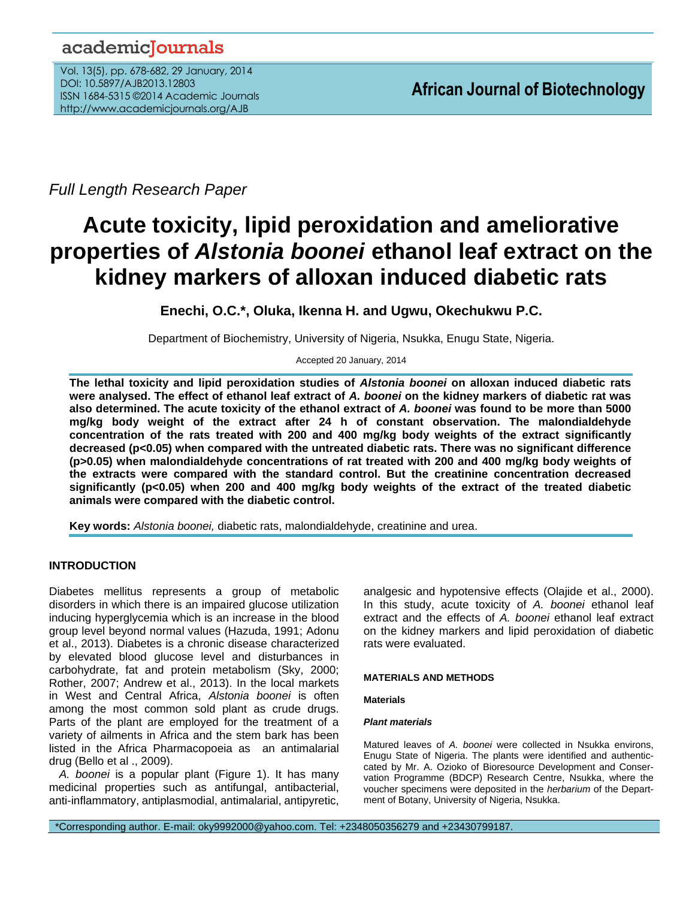# academicJournals

Vol. 13(5), pp. 678-682, 29 January, 2014 DOI: 10.5897/AJB2013.12803 ISSN 1684-5315 ©2014 Academic Journals http://www.academicjournals.org/AJB

*Full Length Research Paper*

# **Acute toxicity, lipid peroxidation and ameliorative properties of** *Alstonia boonei* **ethanol leaf extract on the kidney markers of alloxan induced diabetic rats**

**Enechi, O.C.\*, Oluka, Ikenna H. and Ugwu, Okechukwu P.C.**

Department of Biochemistry, University of Nigeria, Nsukka, Enugu State, Nigeria.

Accepted 20 January, 2014

**The lethal toxicity and lipid peroxidation studies of** *Alstonia boonei* **on alloxan induced diabetic rats were analysed. The effect of ethanol leaf extract of** *A. boonei* **on the kidney markers of diabetic rat was also determined. The acute toxicity of the ethanol extract of** *A. boonei* **was found to be more than 5000 mg/kg body weight of the extract after 24 h of constant observation. The malondialdehyde concentration of the rats treated with 200 and 400 mg/kg body weights of the extract significantly decreased (p<0.05) when compared with the untreated diabetic rats. There was no significant difference (p>0.05) when malondialdehyde concentrations of rat treated with 200 and 400 mg/kg body weights of the extracts were compared with the standard control. But the creatinine concentration decreased significantly (p<0.05) when 200 and 400 mg/kg body weights of the extract of the treated diabetic animals were compared with the diabetic control.**

**Key words:** *Alstonia boonei,* diabetic rats, malondialdehyde, creatinine and urea.

# **INTRODUCTION**

Diabetes mellitus represents a group of metabolic disorders in which there is an impaired glucose utilization inducing hyperglycemia which is an increase in the blood group level beyond normal values (Hazuda, 1991; Adonu et al., 2013). Diabetes is a chronic disease characterized by elevated blood glucose level and disturbances in carbohydrate, fat and protein metabolism (Sky, 2000; Rother, 2007; Andrew et al., 2013). In the local markets in West and Central Africa, *Alstonia boonei* is often among the most common sold plant as crude drugs. Parts of the plant are employed for the treatment of a variety of ailments in Africa and the stem bark has been listed in the Africa Pharmacopoeia as an antimalarial drug (Bello et al ., 2009).

*A. boonei* is a popular plant (Figure 1). It has many medicinal properties such as antifungal, antibacterial, anti-inflammatory, antiplasmodial, antimalarial, antipyretic, analgesic and hypotensive effects (Olajide et al., 2000). In this study, acute toxicity of *A. boonei* ethanol leaf extract and the effects of *A. boonei* ethanol leaf extract on the kidney markers and lipid peroxidation of diabetic rats were evaluated.

# **MATERIALS AND METHODS**

# **Materials**

# *Plant materials*

Matured leaves of *A. boonei* were collected in Nsukka environs, Enugu State of Nigeria. The plants were identified and authenticcated by Mr. A. Ozioko of Bioresource Development and Conservation Programme (BDCP) Research Centre, Nsukka, where the voucher specimens were deposited in the *herbarium* of the Department of Botany, University of Nigeria, Nsukka.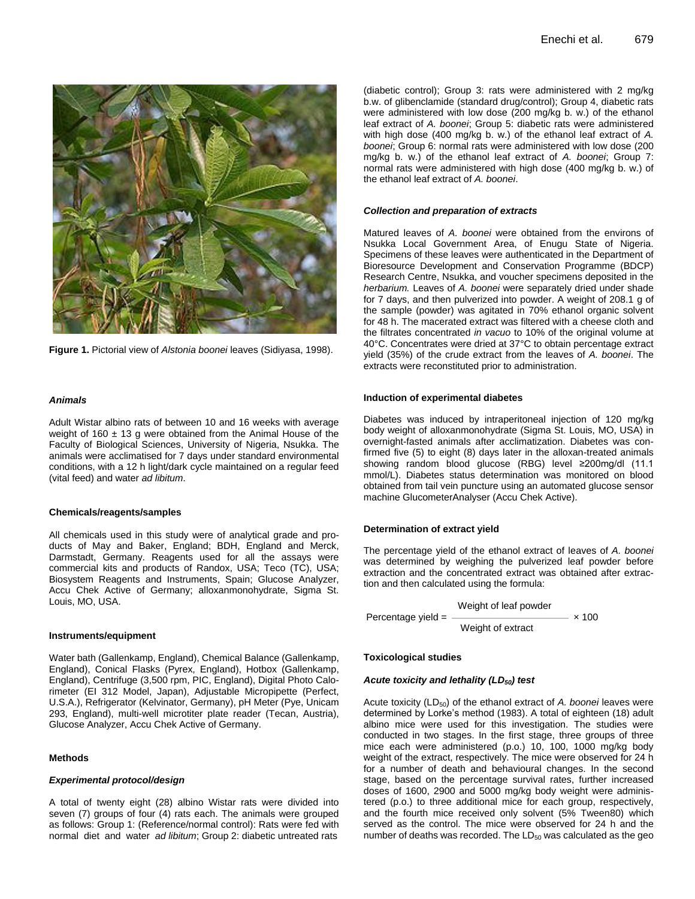

**Figure 1.** Pictorial view of *Alstonia boonei* leaves (Sidiyasa, 1998).

#### *Animals*

Adult Wistar albino rats of between 10 and 16 weeks with average weight of 160  $\pm$  13 g were obtained from the Animal House of the Faculty of Biological Sciences, University of Nigeria, Nsukka. The animals were acclimatised for 7 days under standard environmental conditions, with a 12 h light/dark cycle maintained on a regular feed (vital feed) and water *ad libitum*.

#### **Chemicals/reagents/samples**

All chemicals used in this study were of analytical grade and products of May and Baker, England; BDH, England and Merck, Darmstadt, Germany. Reagents used for all the assays were commercial kits and products of Randox, USA; Teco (TC), USA; Biosystem Reagents and Instruments, Spain; Glucose Analyzer, Accu Chek Active of Germany; alloxanmonohydrate, Sigma St. Louis, MO, USA.

# **Instruments/equipment**

Water bath (Gallenkamp, England), Chemical Balance (Gallenkamp, England), Conical Flasks (Pyrex, England), Hotbox (Gallenkamp, England), Centrifuge (3,500 rpm, PIC, England), Digital Photo Calorimeter (EI 312 Model, Japan), Adjustable Micropipette (Perfect, U.S.A.), Refrigerator (Kelvinator, Germany), pH Meter (Pye, Unicam 293, England), multi-well microtiter plate reader (Tecan, Austria), Glucose Analyzer, Accu Chek Active of Germany.

#### **Methods**

#### *Experimental protocol/design*

A total of twenty eight (28) albino Wistar rats were divided into seven (7) groups of four (4) rats each. The animals were grouped as follows: Group 1: (Reference/normal control): Rats were fed with normal diet and water *ad libitum*; Group 2: diabetic untreated rats

(diabetic control); Group 3: rats were administered with 2 mg/kg b.w. of glibenclamide (standard drug/control); Group 4, diabetic rats were administered with low dose (200 mg/kg b. w.) of the ethanol leaf extract of *A. boonei*; Group 5: diabetic rats were administered with high dose (400 mg/kg b. w.) of the ethanol leaf extract of *A. boonei*; Group 6: normal rats were administered with low dose (200 mg/kg b. w.) of the ethanol leaf extract of *A. boonei*; Group 7: normal rats were administered with high dose (400 mg/kg b. w.) of the ethanol leaf extract of *A. boonei*.

#### *Collection and preparation of extracts*

Matured leaves of *A. boonei* were obtained from the environs of Nsukka Local Government Area, of Enugu State of Nigeria. Specimens of these leaves were authenticated in the Department of Bioresource Development and Conservation Programme (BDCP) Research Centre, Nsukka, and voucher specimens deposited in the *herbarium.* Leaves of *A. boonei* were separately dried under shade for 7 days, and then pulverized into powder. A weight of 208.1 g of the sample (powder) was agitated in 70% ethanol organic solvent for 48 h. The macerated extract was filtered with a cheese cloth and the filtrates concentrated *in vacuo* to 10% of the original volume at 40°C. Concentrates were dried at 37°C to obtain percentage extract yield (35%) of the crude extract from the leaves of *A. boonei*. The extracts were reconstituted prior to administration.

#### **Induction of experimental diabetes**

Diabetes was induced by intraperitoneal injection of 120 mg/kg body weight of alloxanmonohydrate (Sigma St. Louis, MO, USA) in overnight-fasted animals after acclimatization. Diabetes was confirmed five (5) to eight (8) days later in the alloxan-treated animals showing random blood glucose (RBG) level ≥200mg/dl (11.1 mmol/L). Diabetes status determination was monitored on blood obtained from tail vein puncture using an automated glucose sensor machine GlucometerAnalyser (Accu Chek Active).

#### **Determination of extract yield**

The percentage yield of the ethanol extract of leaves of *A. boonei* was determined by weighing the pulverized leaf powder before extraction and the concentrated extract was obtained after extraction and then calculated using the formula:

$$
Weight of leaf powderPercentage yield =
$$
 
$$
\times 100
$$

Weight of extract

#### **Toxicological studies**

#### *Acute toxicity and lethality (LD50) test*

Acute toxicity (LD<sub>50</sub>) of the ethanol extract of A. boonei leaves were determined by Lorke's method (1983). A total of eighteen (18) adult albino mice were used for this investigation. The studies were conducted in two stages. In the first stage, three groups of three mice each were administered (p.o.) 10, 100, 1000 mg/kg body weight of the extract, respectively. The mice were observed for 24 h for a number of death and behavioural changes. In the second stage, based on the percentage survival rates, further increased doses of 1600, 2900 and 5000 mg/kg body weight were administered (p.o.) to three additional mice for each group, respectively, and the fourth mice received only solvent (5% Tween80) which served as the control. The mice were observed for 24 h and the Percentage yield =  $\frac{1}{2}$  Weight of leaf powder x 100<br>
Veight of extract  $\frac{1}{2}$  x 100<br>
Toxicological studies<br>
Acute toxicity (LD<sub>50</sub>) of the ethanol extract of A. boonei leaves were<br>
Acute toxicity (LD<sub>50</sub>) of the e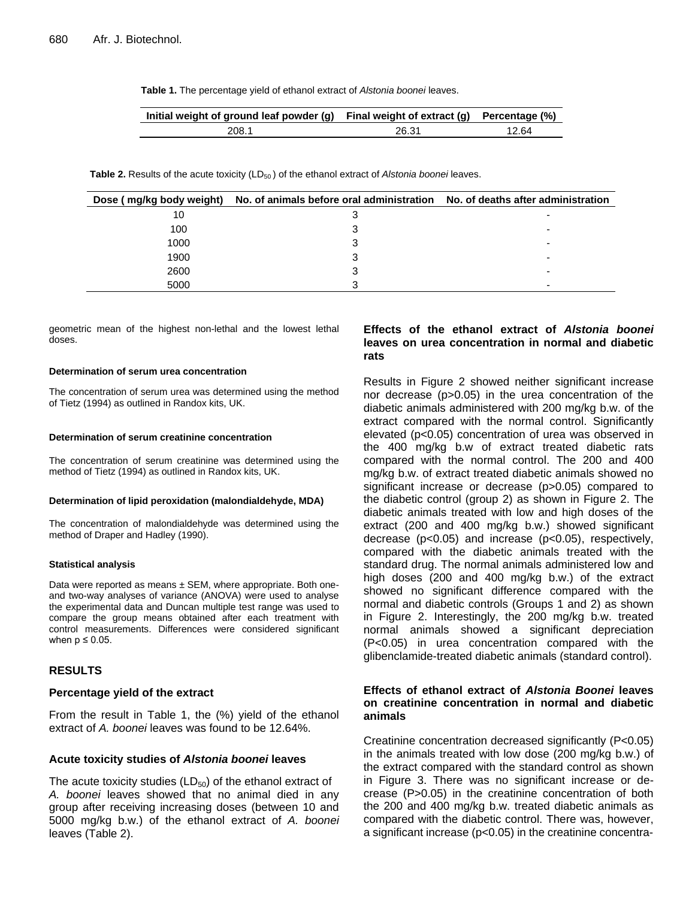**Table 1.** The percentage yield of ethanol extract of *Alstonia boonei* leaves.

| Initial weight of ground leaf powder (g) Final weight of extract (g) Percentage $(\%)$ |       |       |
|----------------------------------------------------------------------------------------|-------|-------|
| 208.1                                                                                  | 26.31 | 12.64 |

**Table 2.** Results of the acute toxicity (LD<sub>50</sub>) of the ethanol extract of *Alstonia boonei* leaves.

| Dose (mg/kg body weight) | No. of animals before oral administration No. of deaths after administration |                          |
|--------------------------|------------------------------------------------------------------------------|--------------------------|
| 10                       |                                                                              |                          |
| 100                      |                                                                              |                          |
| 1000                     |                                                                              | -                        |
| 1900                     | 3                                                                            | -                        |
| 2600                     | З                                                                            | $\overline{\phantom{a}}$ |
| 5000                     |                                                                              | -                        |

geometric mean of the highest non-lethal and the lowest lethal doses.

#### **Determination of serum urea concentration**

The concentration of serum urea was determined using the method of Tietz (1994) as outlined in Randox kits, UK.

#### **Determination of serum creatinine concentration**

The concentration of serum creatinine was determined using the method of Tietz (1994) as outlined in Randox kits, UK.

#### **Determination of lipid peroxidation (malondialdehyde, MDA)**

The concentration of malondialdehyde was determined using the method of Draper and Hadley (1990).

#### **Statistical analysis**

Data were reported as means  $\pm$  SEM, where appropriate. Both oneand two-way analyses of variance (ANOVA) were used to analyse the experimental data and Duncan multiple test range was used to compare the group means obtained after each treatment with control measurements. Differences were considered significant when  $p \leq 0.05$ .

#### **RESULTS**

#### **Percentage yield of the extract**

From the result in Table 1, the (%) yield of the ethanol extract of *A. boonei* leaves was found to be 12.64%.

# **Acute toxicity studies of** *Alstonia boonei* **leaves**

The acute toxicity studies  $(LD_{50})$  of the ethanol extract of A. boonei leaves showed that no animal died in any group after receiving increasing doses (between 10 and 5000 mg/kg b.w.) of the ethanol extract of *A. boonei*  leaves (Table 2).

# **Effects of the ethanol extract of** *Alstonia boonei*  **leaves on urea concentration in normal and diabetic rats**

Results in Figure 2 showed neither significant increase nor decrease (p>0.05) in the urea concentration of the diabetic animals administered with 200 mg/kg b.w. of the extract compared with the normal control. Significantly elevated (p<0.05) concentration of urea was observed in the 400 mg/kg b.w of extract treated diabetic rats compared with the normal control. The 200 and 400 mg/kg b.w. of extract treated diabetic animals showed no significant increase or decrease (p>0.05) compared to the diabetic control (group 2) as shown in Figure 2. The diabetic animals treated with low and high doses of the extract (200 and 400 mg/kg b.w.) showed significant decrease (p<0.05) and increase (p<0.05), respectively, compared with the diabetic animals treated with the standard drug. The normal animals administered low and high doses (200 and 400 mg/kg b.w.) of the extract showed no significant difference compared with the normal and diabetic controls (Groups 1 and 2) as shown in Figure 2. Interestingly, the 200 mg/kg b.w. treated normal animals showed a significant depreciation (P<0.05) in urea concentration compared with the glibenclamide-treated diabetic animals (standard control).

# **Effects of ethanol extract of** *Alstonia Boonei* **leaves on creatinine concentration in normal and diabetic animals**

Creatinine concentration decreased significantly (P<0.05) in the animals treated with low dose (200 mg/kg b.w.) of the extract compared with the standard control as shown in Figure 3. There was no significant increase or decrease (P>0.05) in the creatinine concentration of both the 200 and 400 mg/kg b.w. treated diabetic animals as compared with the diabetic control. There was, however, a significant increase (p<0.05) in the creatinine concentra-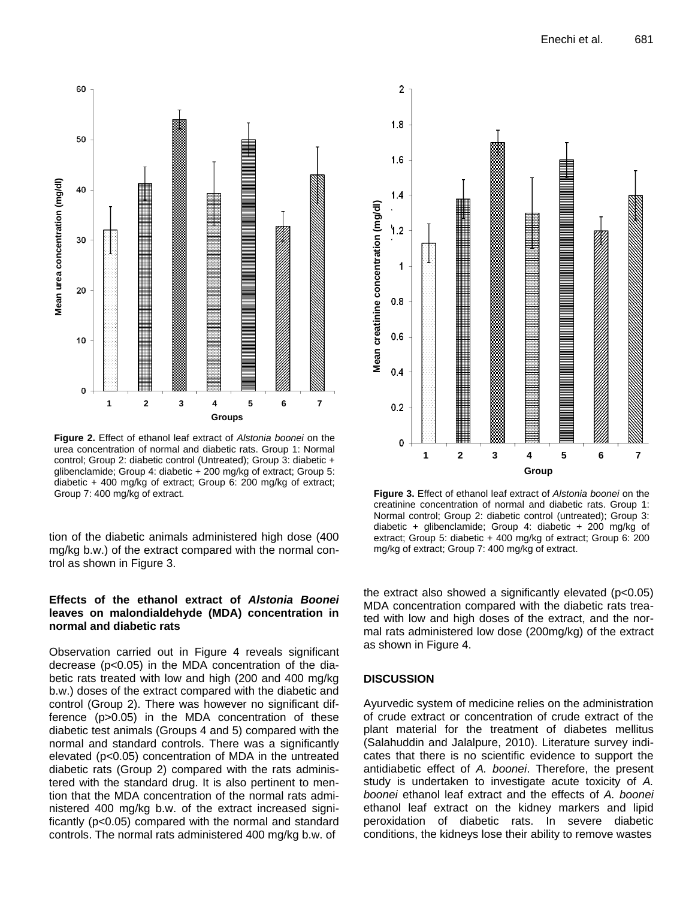

**Figure 2.** Effect of ethanol leaf extract of *Alstonia boonei* on the urea concentration of normal and diabetic rats. Group 1: Normal control; Group 2: diabetic control (Untreated); Group 3: diabetic + glibenclamide; Group 4: diabetic + 200 mg/kg of extract; Group 5: diabetic + 400 mg/kg of extract; Group 6: 200 mg/kg of extract; Group 7: 400 mg/kg of extract.

tion of the diabetic animals administered high dose (400 mg/kg b.w.) of the extract compared with the normal control as shown in Figure 3.

# **Effects of the ethanol extract of** *Alstonia Boonei*  **leaves on malondialdehyde (MDA) concentration in normal and diabetic rats**

Observation carried out in Figure 4 reveals significant decrease (p<0.05) in the MDA concentration of the diabetic rats treated with low and high (200 and 400 mg/kg b.w.) doses of the extract compared with the diabetic and control (Group 2). There was however no significant difference (p>0.05) in the MDA concentration of these diabetic test animals (Groups 4 and 5) compared with the normal and standard controls. There was a significantly elevated (p<0.05) concentration of MDA in the untreated diabetic rats (Group 2) compared with the rats administered with the standard drug. It is also pertinent to mention that the MDA concentration of the normal rats administered 400 mg/kg b.w. of the extract increased significantly (p<0.05) compared with the normal and standard controls. The normal rats administered 400 mg/kg b.w. of



**Figure 3.** Effect of ethanol leaf extract of *Alstonia boonei* on the creatinine concentration of normal and diabetic rats. Group 1: Normal control; Group 2: diabetic control (untreated); Group 3: diabetic + glibenclamide; Group 4: diabetic + 200 mg/kg of extract; Group 5: diabetic + 400 mg/kg of extract; Group 6: 200 mg/kg of extract; Group 7: 400 mg/kg of extract.

the extract also showed a significantly elevated (p<0.05) MDA concentration compared with the diabetic rats treated with low and high doses of the extract, and the normal rats administered low dose (200mg/kg) of the extract as shown in Figure 4.

# **DISCUSSION**

Ayurvedic system of medicine relies on the administration of crude extract or concentration of crude extract of the plant material for the treatment of diabetes mellitus (Salahuddin and Jalalpure, 2010). Literature survey indicates that there is no scientific evidence to support the antidiabetic effect of *A. boonei*. Therefore, the present study is undertaken to investigate acute toxicity of *A. boonei* ethanol leaf extract and the effects of *A. boonei* ethanol leaf extract on the kidney markers and lipid peroxidation of diabetic rats. In severe diabetic conditions, the kidneys lose their ability to remove wastes